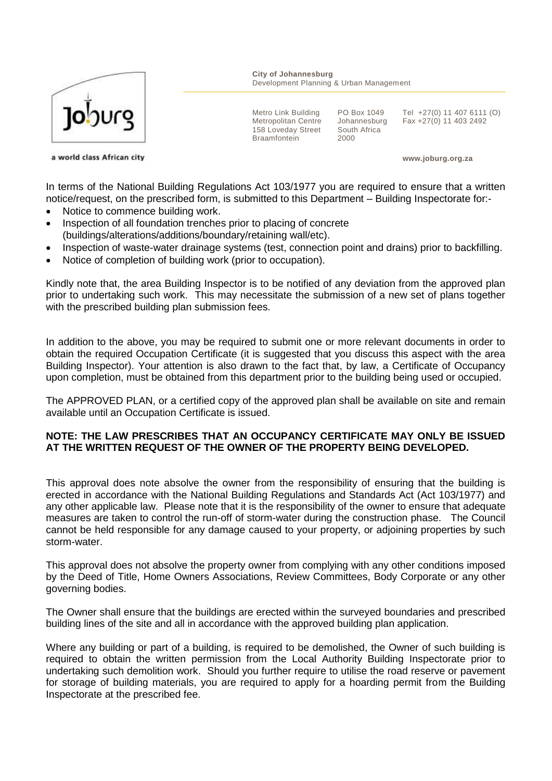

**City of Johannesburg** Development Planning & Urban Management

Metro Link Building Metropolitan Centre 158 Loveday Street **Braamfontein** 

PO Box 1049 Johannesburg South Africa 2000

Tel +27(0) 11 407 6111 (O) Fax +27(0) 11 403 2492

a world class African city

**www.joburg.org.za**

In terms of the National Building Regulations Act 103/1977 you are required to ensure that a written notice/request, on the prescribed form, is submitted to this Department – Building Inspectorate for:-

- Notice to commence building work.
- Inspection of all foundation trenches prior to placing of concrete (buildings/alterations/additions/boundary/retaining wall/etc).
- Inspection of waste-water drainage systems (test, connection point and drains) prior to backfilling.
- Notice of completion of building work (prior to occupation).

Kindly note that, the area Building Inspector is to be notified of any deviation from the approved plan prior to undertaking such work. This may necessitate the submission of a new set of plans together with the prescribed building plan submission fees.

In addition to the above, you may be required to submit one or more relevant documents in order to obtain the required Occupation Certificate (it is suggested that you discuss this aspect with the area Building Inspector). Your attention is also drawn to the fact that, by law, a Certificate of Occupancy upon completion, must be obtained from this department prior to the building being used or occupied.

The APPROVED PLAN, or a certified copy of the approved plan shall be available on site and remain available until an Occupation Certificate is issued.

## **NOTE: THE LAW PRESCRIBES THAT AN OCCUPANCY CERTIFICATE MAY ONLY BE ISSUED AT THE WRITTEN REQUEST OF THE OWNER OF THE PROPERTY BEING DEVELOPED.**

This approval does note absolve the owner from the responsibility of ensuring that the building is erected in accordance with the National Building Regulations and Standards Act (Act 103/1977) and any other applicable law. Please note that it is the responsibility of the owner to ensure that adequate measures are taken to control the run-off of storm-water during the construction phase. The Council cannot be held responsible for any damage caused to your property, or adjoining properties by such storm-water.

This approval does not absolve the property owner from complying with any other conditions imposed by the Deed of Title, Home Owners Associations, Review Committees, Body Corporate or any other governing bodies.

The Owner shall ensure that the buildings are erected within the surveyed boundaries and prescribed building lines of the site and all in accordance with the approved building plan application.

Where any building or part of a building, is required to be demolished, the Owner of such building is required to obtain the written permission from the Local Authority Building Inspectorate prior to undertaking such demolition work. Should you further require to utilise the road reserve or pavement for storage of building materials, you are required to apply for a hoarding permit from the Building Inspectorate at the prescribed fee.